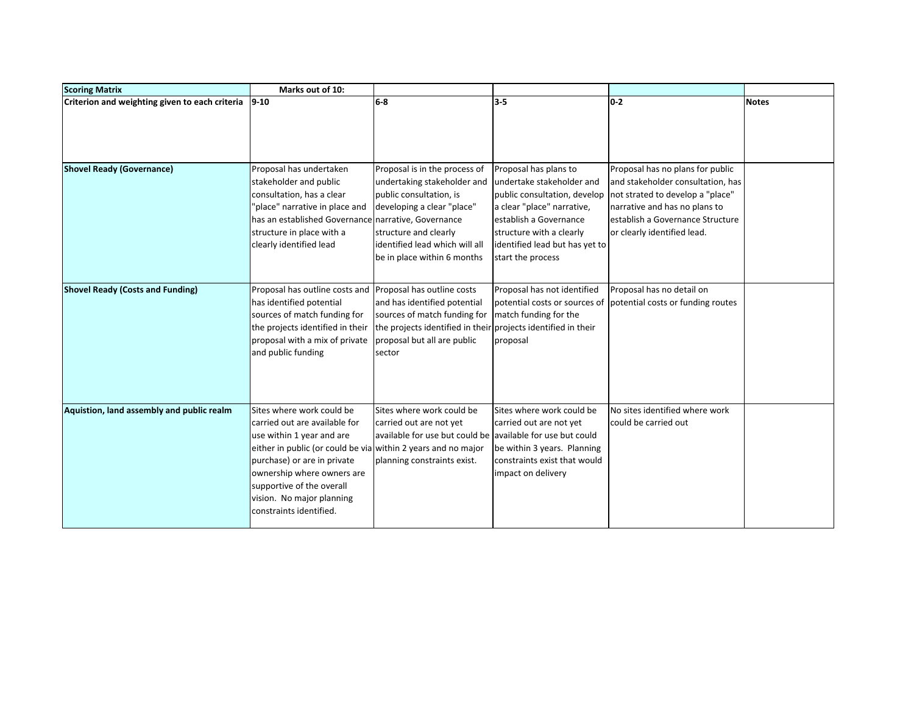| <b>Scoring Matrix</b>                          | Marks out of 10:                                              |                                                               |                                |                                                                 |              |
|------------------------------------------------|---------------------------------------------------------------|---------------------------------------------------------------|--------------------------------|-----------------------------------------------------------------|--------------|
| Criterion and weighting given to each criteria | $9 - 10$                                                      | $6-8$                                                         | $3 - 5$                        | $0-2$                                                           | <b>Notes</b> |
|                                                |                                                               |                                                               |                                |                                                                 |              |
|                                                |                                                               |                                                               |                                |                                                                 |              |
|                                                |                                                               |                                                               |                                |                                                                 |              |
| <b>Shovel Ready (Governance)</b>               | Proposal has undertaken                                       | Proposal is in the process of                                 | Proposal has plans to          | Proposal has no plans for public                                |              |
|                                                | stakeholder and public                                        | undertaking stakeholder and                                   | undertake stakeholder and      | and stakeholder consultation, has                               |              |
|                                                | consultation, has a clear                                     | public consultation, is                                       |                                | public consultation, develop not strated to develop a "place"   |              |
|                                                | 'place" narrative in place and                                | developing a clear "place"                                    | a clear "place" narrative,     | narrative and has no plans to                                   |              |
|                                                | has an established Governance narrative, Governance           |                                                               | establish a Governance         | lestablish a Governance Structure                               |              |
|                                                | structure in place with a                                     | structure and clearly                                         | structure with a clearly       | or clearly identified lead.                                     |              |
|                                                | clearly identified lead                                       | lidentified lead which will all                               | identified lead but has yet to |                                                                 |              |
|                                                |                                                               | be in place within 6 months                                   | start the process              |                                                                 |              |
|                                                |                                                               |                                                               |                                |                                                                 |              |
| <b>Shovel Ready (Costs and Funding)</b>        | Proposal has outline costs and Proposal has outline costs     |                                                               | Proposal has not identified    | Proposal has no detail on                                       |              |
|                                                | has identified potential                                      | and has identified potential                                  |                                | potential costs or sources of potential costs or funding routes |              |
|                                                | sources of match funding for                                  | sources of match funding for                                  | match funding for the          |                                                                 |              |
|                                                | the projects identified in their                              | the projects identified in their projects identified in their |                                |                                                                 |              |
|                                                | proposal with a mix of private                                | proposal but all are public                                   | proposal                       |                                                                 |              |
|                                                | and public funding                                            | sector                                                        |                                |                                                                 |              |
|                                                |                                                               |                                                               |                                |                                                                 |              |
|                                                |                                                               |                                                               |                                |                                                                 |              |
|                                                |                                                               |                                                               |                                |                                                                 |              |
| Aquistion, land assembly and public realm      | Sites where work could be                                     | Sites where work could be                                     | Sites where work could be      | No sites identified where work                                  |              |
|                                                | carried out are available for                                 | carried out are not yet                                       | carried out are not yet        | could be carried out                                            |              |
|                                                | use within 1 year and are                                     | available for use but could be lavailable for use but could   |                                |                                                                 |              |
|                                                | either in public (or could be via within 2 years and no major |                                                               | be within 3 years. Planning    |                                                                 |              |
|                                                | purchase) or are in private                                   | planning constraints exist.                                   | constraints exist that would   |                                                                 |              |
|                                                | ownership where owners are                                    |                                                               | impact on delivery             |                                                                 |              |
|                                                | supportive of the overall                                     |                                                               |                                |                                                                 |              |
|                                                | vision. No major planning                                     |                                                               |                                |                                                                 |              |
|                                                | constraints identified.                                       |                                                               |                                |                                                                 |              |
|                                                |                                                               |                                                               |                                |                                                                 |              |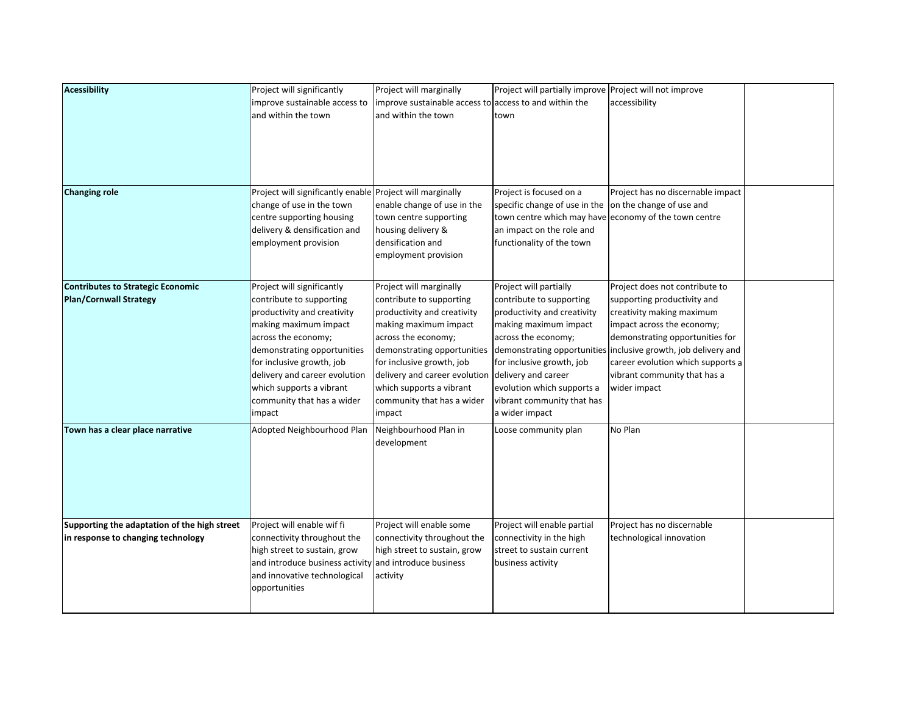| <b>Acessibility</b>                                                                | Project will significantly<br>improve sustainable access to<br>and within the town                                                                                                                                                                                                                     | Project will marginally<br>improve sustainable access to access to and within the<br>and within the town                                                                                                                                                                                            | Project will partially improve Project will not improve<br>town                                                                                                                                                                                                     | accessibility                                                                                                                                                                                                                                                                                                      |  |
|------------------------------------------------------------------------------------|--------------------------------------------------------------------------------------------------------------------------------------------------------------------------------------------------------------------------------------------------------------------------------------------------------|-----------------------------------------------------------------------------------------------------------------------------------------------------------------------------------------------------------------------------------------------------------------------------------------------------|---------------------------------------------------------------------------------------------------------------------------------------------------------------------------------------------------------------------------------------------------------------------|--------------------------------------------------------------------------------------------------------------------------------------------------------------------------------------------------------------------------------------------------------------------------------------------------------------------|--|
| <b>Changing role</b>                                                               | Project will significantly enable Project will marginally<br>change of use in the town<br>centre supporting housing<br>delivery & densification and<br>employment provision                                                                                                                            | enable change of use in the<br>town centre supporting<br>housing delivery &<br>densification and<br>employment provision                                                                                                                                                                            | Project is focused on a<br>specific change of use in the<br>an impact on the role and<br>functionality of the town                                                                                                                                                  | Project has no discernable impact<br>on the change of use and<br>town centre which may have economy of the town centre                                                                                                                                                                                             |  |
| <b>Contributes to Strategic Economic</b><br><b>Plan/Cornwall Strategy</b>          | Project will significantly<br>contribute to supporting<br>productivity and creativity<br>making maximum impact<br>across the economy;<br>demonstrating opportunities<br>for inclusive growth, job<br>delivery and career evolution<br>which supports a vibrant<br>community that has a wider<br>impact | Project will marginally<br>contribute to supporting<br>productivity and creativity<br>making maximum impact<br>across the economy;<br>demonstrating opportunities<br>for inclusive growth, job<br>delivery and career evolution<br>which supports a vibrant<br>community that has a wider<br>impact | Project will partially<br>contribute to supporting<br>productivity and creativity<br>making maximum impact<br>across the economy;<br>for inclusive growth, job<br>delivery and career<br>evolution which supports a<br>vibrant community that has<br>a wider impact | Project does not contribute to<br>supporting productivity and<br>creativity making maximum<br>impact across the economy;<br>demonstrating opportunities for<br>demonstrating opportunities inclusive growth, job delivery and<br>career evolution which supports a<br>vibrant community that has a<br>wider impact |  |
| Town has a clear place narrative                                                   | Adopted Neighbourhood Plan                                                                                                                                                                                                                                                                             | Neighbourhood Plan in<br>development                                                                                                                                                                                                                                                                | Loose community plan                                                                                                                                                                                                                                                | No Plan                                                                                                                                                                                                                                                                                                            |  |
| Supporting the adaptation of the high street<br>in response to changing technology | Project will enable wif fi<br>connectivity throughout the<br>high street to sustain, grow<br>and introduce business activity<br>and innovative technological<br>opportunities                                                                                                                          | Project will enable some<br>connectivity throughout the<br>high street to sustain, grow<br>and introduce business<br>activity                                                                                                                                                                       | Project will enable partial<br>connectivity in the high<br>street to sustain current<br>business activity                                                                                                                                                           | Project has no discernable<br>technological innovation                                                                                                                                                                                                                                                             |  |